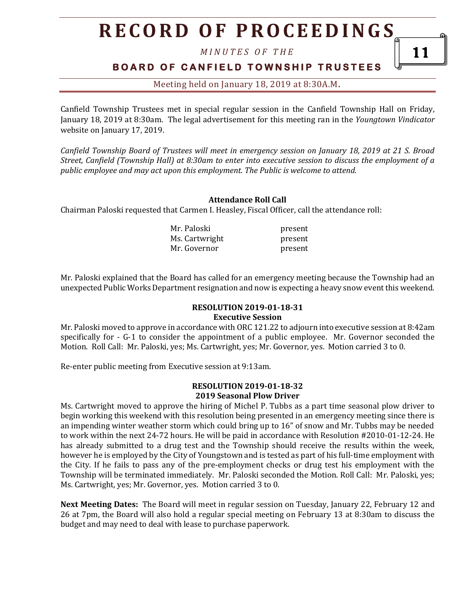## **R E C O R D O F P R O C E E D I N GS**

*M I N U T E S O F T H E* 

### **B O A R D O F C A N F I E L D T O W N S H I P T R U S T E E S**

Meeting held on January 18, 2019 at 8:30A.M**.**

Canfield Township Trustees met in special regular session in the Canfield Township Hall on Friday, January 18, 2019 at 8:30am. The legal advertisement for this meeting ran in the *Youngtown Vindicator* website on January 17, 2019.

*Canfield Township Board of Trustees will meet in emergency session on January 18, 2019 at 21 S. Broad Street, Canfield (Township Hall) at 8:30am to enter into executive session to discuss the employment of a public employee and may act upon this employment. The Public is welcome to attend.*

#### **Attendance Roll Call**

Chairman Paloski requested that Carmen I. Heasley, Fiscal Officer, call the attendance roll:

| Mr. Paloski    | present |
|----------------|---------|
| Ms. Cartwright | present |
| Mr. Governor   | present |

Mr. Paloski explained that the Board has called for an emergency meeting because the Township had an unexpected Public Works Department resignation and now is expecting a heavy snow event this weekend.

#### **RESOLUTION 2019-01-18-31 Executive Session**

Mr. Paloski moved to approve in accordance with ORC 121.22 to adjourn into executive session at 8:42am specifically for - G-1 to consider the appointment of a public employee. Mr. Governor seconded the Motion. Roll Call: Mr. Paloski, yes; Ms. Cartwright, yes; Mr. Governor, yes. Motion carried 3 to 0.

Re-enter public meeting from Executive session at 9:13am.

#### **RESOLUTION 2019-01-18-32 2019 Seasonal Plow Driver**

Ms. Cartwright moved to approve the hiring of Michel P. Tubbs as a part time seasonal plow driver to begin working this weekend with this resolution being presented in an emergency meeting since there is an impending winter weather storm which could bring up to 16" of snow and Mr. Tubbs may be needed to work within the next 24-72 hours. He will be paid in accordance with Resolution #2010-01-12-24. He has already submitted to a drug test and the Township should receive the results within the week, however he is employed by the City of Youngstown and is tested as part of his full-time employment with the City. If he fails to pass any of the pre-employment checks or drug test his employment with the Township will be terminated immediately. Mr. Paloski seconded the Motion. Roll Call: Mr. Paloski, yes; Ms. Cartwright, yes; Mr. Governor, yes. Motion carried 3 to 0.

**Next Meeting Dates:** The Board will meet in regular session on Tuesday, January 22, February 12 and 26 at 7pm, the Board will also hold a regular special meeting on February 13 at 8:30am to discuss the budget and may need to deal with lease to purchase paperwork.

11